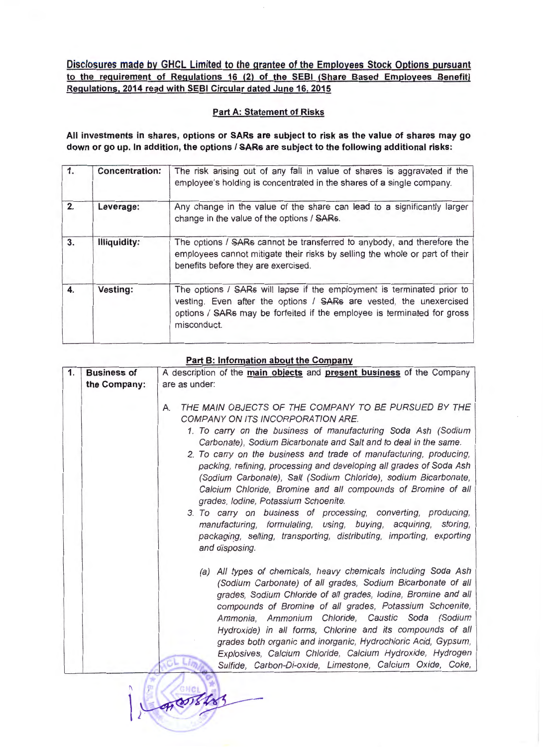**Disclosures made by GHCL Limited to the grantee of the Employees Stock Options pursuant to the requirement of Regulations 16 (2) of the SEBI (Share Based Employees Benefit) Regulations, 2014 read with SEBI Circular dated June 16, 2015** 

## **Part A: Statement of Risks**

**All investments in shares, options or SARs are subject to risk as the value of shares may go down or go up. In addition, the options I SARs are subject to the following additional risks:** 

| 1. | <b>Concentration:</b> | The risk arising out of any fall in value of shares is aggravated if the<br>employee's holding is concentrated in the shares of a single company.                                                                                      |
|----|-----------------------|----------------------------------------------------------------------------------------------------------------------------------------------------------------------------------------------------------------------------------------|
| 2. | Leverage:             | Any change in the value of the share can lead to a significantly larger<br>change in the value of the options / SARs.                                                                                                                  |
| 3. | Illiquidity:          | The options / SARs cannot be transferred to anybody, and therefore the<br>employees cannot mitigate their risks by selling the whole or part of their<br>benefits before they are exercised.                                           |
| 4. | Vesting:              | The options / SARs will lapse if the employment is terminated prior to<br>vesting. Even after the options / SARs are vested, the unexercised<br>options / SARs may be forfeited if the employee is terminated for gross<br>misconduct. |

## **Part B: Information about the Company**

| 1. | <b>Business of</b> | A description of the main objects and present business of the Company                                                                                                                                   |
|----|--------------------|---------------------------------------------------------------------------------------------------------------------------------------------------------------------------------------------------------|
|    | the Company:       | are as under:                                                                                                                                                                                           |
|    |                    |                                                                                                                                                                                                         |
|    |                    | THE MAIN OBJECTS OF THE COMPANY TO BE PURSUED BY THE<br>А.<br>COMPANY ON ITS INCORPORATION ARE.                                                                                                         |
|    |                    | 1. To carry on the business of manufacturing Soda Ash (Sodium<br>Carbonate), Sodium Bicarbonate and Salt and to deal in the same.<br>2. To carry on the business and trade of manufacturing, producing, |
|    |                    | packing, refining, processing and developing all grades of Soda Ash                                                                                                                                     |
|    |                    | (Sodium Carbonate), Salt (Sodium Chloride), sodium Bicarbonate,<br>Calcium Chloride, Bromine and all compounds of Bromine of all                                                                        |
|    |                    | grades, Iodine, Potassium Schoenite.                                                                                                                                                                    |
|    |                    | 3. To carry on business of processing, converting, producing,                                                                                                                                           |
|    |                    | manufacturing, formulating, using, buying, acquiring, storing,<br>packaging, selling, transporting, distributing, importing, exporting                                                                  |
|    |                    | and disposing.                                                                                                                                                                                          |
|    |                    | (a) All types of chemicals, heavy chemicals including Soda Ash                                                                                                                                          |
|    |                    | (Sodium Carbonate) of all grades, Sodium Bicarbonate of all<br>grades, Sodium Chloride of all grades, lodine, Bromine and all                                                                           |
|    |                    | compounds of Bromine of all grades, Potassium Schoenite,                                                                                                                                                |
|    |                    | Ammonia, Ammonium Chloride, Caustic Soda (Sodium                                                                                                                                                        |
|    |                    | Hydroxide) in all forms, Chlorine and its compounds of all                                                                                                                                              |
|    |                    | grades both organic and inorganic, Hydrochloric Acid, Gypsum,                                                                                                                                           |
|    |                    | Explosives, Calcium Chloride, Calcium Hydroxide, Hydrogen                                                                                                                                               |
|    |                    | Sulfide, Carbon-Di-oxide, Limestone, Calcium Oxide, Coke,                                                                                                                                               |
|    |                    |                                                                                                                                                                                                         |

 $\frac{1}{2}$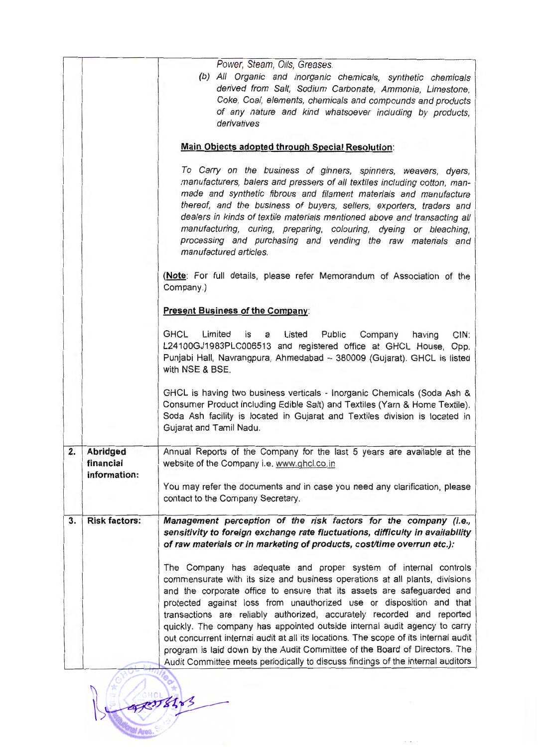|    |                                              | Power, Steam, Oils, Greases.<br>(b) All Organic and inorganic chemicals, synthetic chemicals<br>derived from Salt, Sodium Carbonate, Ammonia, Limestone,<br>Coke, Coal, elements, chemicals and compounds and products<br>of any nature and kind whatsoever including by products,<br>derivatives                                                                                                                                                                                                                                                                                                                                                                                                               |
|----|----------------------------------------------|-----------------------------------------------------------------------------------------------------------------------------------------------------------------------------------------------------------------------------------------------------------------------------------------------------------------------------------------------------------------------------------------------------------------------------------------------------------------------------------------------------------------------------------------------------------------------------------------------------------------------------------------------------------------------------------------------------------------|
|    |                                              | Main Objects adopted through Special Resolution:                                                                                                                                                                                                                                                                                                                                                                                                                                                                                                                                                                                                                                                                |
|    |                                              | To Carry on the business of ginners, spinners, weavers, dyers,<br>manufacturers, balers and pressers of all textiles including cotton, man-<br>made and synthetic fibrous and filament materials and manufacture<br>thereof, and the business of buyers, sellers, exporters, traders and<br>dealers in kinds of textile materials mentioned above and transacting all<br>manufacturing, curing, preparing, colouring, dyeing or bleaching,<br>processing and purchasing and vending the raw materials and<br>manufactured articles.                                                                                                                                                                             |
|    |                                              | (Note: For full details, please refer Memorandum of Association of the<br>Company.)                                                                                                                                                                                                                                                                                                                                                                                                                                                                                                                                                                                                                             |
|    |                                              | <b>Present Business of the Company:</b>                                                                                                                                                                                                                                                                                                                                                                                                                                                                                                                                                                                                                                                                         |
|    |                                              | <b>GHCL</b><br>Limited<br>is<br>Listed<br>Public Company<br>having<br>CIN:<br>a<br>L24100GJ1983PLC006513 and registered office at GHCL House, Opp.<br>Punjabi Hall, Navrangpura, Ahmedabad - 380009 (Gujarat). GHCL is listed<br>with NSE & BSE.                                                                                                                                                                                                                                                                                                                                                                                                                                                                |
|    |                                              | GHCL is having two business verticals - Inorganic Chemicals (Soda Ash &<br>Consumer Product including Edible Salt) and Textiles (Yarn & Home Textile).<br>Soda Ash facility is located in Gujarat and Textiles division is located in<br>Gujarat and Tamil Nadu.                                                                                                                                                                                                                                                                                                                                                                                                                                                |
| 2. | <b>Abridged</b><br>financial<br>information: | Annual Reports of the Company for the last 5 years are available at the<br>website of the Company i.e. www.ghcl.co.in                                                                                                                                                                                                                                                                                                                                                                                                                                                                                                                                                                                           |
|    |                                              | You may refer the documents and in case you need any clarification, please<br>contact to the Company Secretary.                                                                                                                                                                                                                                                                                                                                                                                                                                                                                                                                                                                                 |
| 3. | <b>Risk factors:</b>                         | Management perception of the risk factors for the company (i.e.,<br>sensitivity to foreign exchange rate fluctuations, difficulty in availability<br>of raw materials or in marketing of products, cost/time overrun etc.):                                                                                                                                                                                                                                                                                                                                                                                                                                                                                     |
|    |                                              | The Company has adequate and proper system of internal controls<br>commensurate with its size and business operations at all plants, divisions<br>and the corporate office to ensure that its assets are safeguarded and<br>protected against loss from unauthorized use or disposition and that<br>transactions are reliably authorized, accurately recorded and reported<br>quickly. The company has appointed outside internal audit agency to carry<br>out concurrent internal audit at all its locations. The scope of its internal audit<br>program is laid down by the Audit Committee of the Board of Directors. The<br>Audit Committee neets periodically to discuss findings of the internal auditors |

**CARDISALS** Tal Area, SO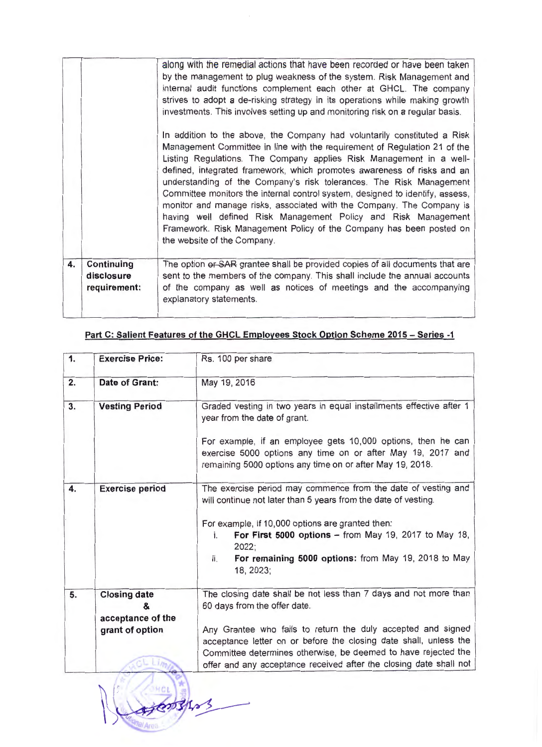|    |                                          | along with the remedial actions that have been recorded or have been taken<br>by the management to plug weakness of the system. Risk Management and<br>internal audit functions complement each other at GHCL. The company                                                                                                                                                                                                                                                                                                                                                                                                                                                                                       |
|----|------------------------------------------|------------------------------------------------------------------------------------------------------------------------------------------------------------------------------------------------------------------------------------------------------------------------------------------------------------------------------------------------------------------------------------------------------------------------------------------------------------------------------------------------------------------------------------------------------------------------------------------------------------------------------------------------------------------------------------------------------------------|
|    |                                          | strives to adopt a de-risking strategy in its operations while making growth<br>investments. This involves setting up and monitoring risk on a regular basis.                                                                                                                                                                                                                                                                                                                                                                                                                                                                                                                                                    |
|    |                                          | In addition to the above, the Company had voluntarily constituted a Risk<br>Management Committee in line with the requirement of Regulation 21 of the<br>Listing Regulations. The Company applies Risk Management in a well-<br>defined, integrated framework, which promotes awareness of risks and an<br>understanding of the Company's risk tolerances. The Risk Management<br>Committee monitors the internal control system, designed to identify, assess,<br>monitor and manage risks, associated with the Company. The Company is<br>having well defined Risk Management Policy and Risk Management<br>Framework. Risk Management Policy of the Company has been posted on<br>the website of the Company. |
| 4. | Continuing<br>disclosure<br>requirement: | The option or SAR grantee shall be provided copies of all documents that are<br>sent to the members of the company. This shall include the annual accounts<br>of the company as well as notices of meetings and the accompanying<br>explanatory statements.                                                                                                                                                                                                                                                                                                                                                                                                                                                      |

| 1. | <b>Exercise Price:</b>                        | Rs. 100 per share                                                                                                                                                                                   |
|----|-----------------------------------------------|-----------------------------------------------------------------------------------------------------------------------------------------------------------------------------------------------------|
| 2. | Date of Grant:                                | May 19, 2016                                                                                                                                                                                        |
| 3. | <b>Vesting Period</b>                         | Graded vesting in two years in equal installments effective after 1<br>year from the date of grant.                                                                                                 |
|    |                                               | For example, if an employee gets 10,000 options, then he can<br>exercise 5000 options any time on or after May 19, 2017 and<br>remaining 5000 options any time on or after May 19, 2018.            |
| 4. | <b>Exercise period</b>                        | The exercise period may commence from the date of vesting and<br>will continue not later than 5 years from the date of vesting.                                                                     |
|    |                                               | For example, if 10,000 options are granted then:<br>For First 5000 options $-$ from May 19, 2017 to May 18,<br>i.<br>2022;                                                                          |
|    |                                               | For remaining 5000 options: from May 19, 2018 to May<br>ii.<br>18, 2023;                                                                                                                            |
| 5. | <b>Closing date</b><br>&<br>acceptance of the | The closing date shall be not less than 7 days and not more than<br>60 days from the offer date.                                                                                                    |
|    | grant of option                               | Any Grantee who fails to return the duly accepted and signed<br>acceptance letter on or before the closing date shall, unless the<br>Committee determines otherwise, be deemed to have rejected the |
|    |                                               | offer and any acceptance received after the closing date shall not                                                                                                                                  |

<sup>~</sup>/ / ~"~

## **Part C: Salient Features of the GHCL Employees Stock Option Scheme 2015 - Series -1**